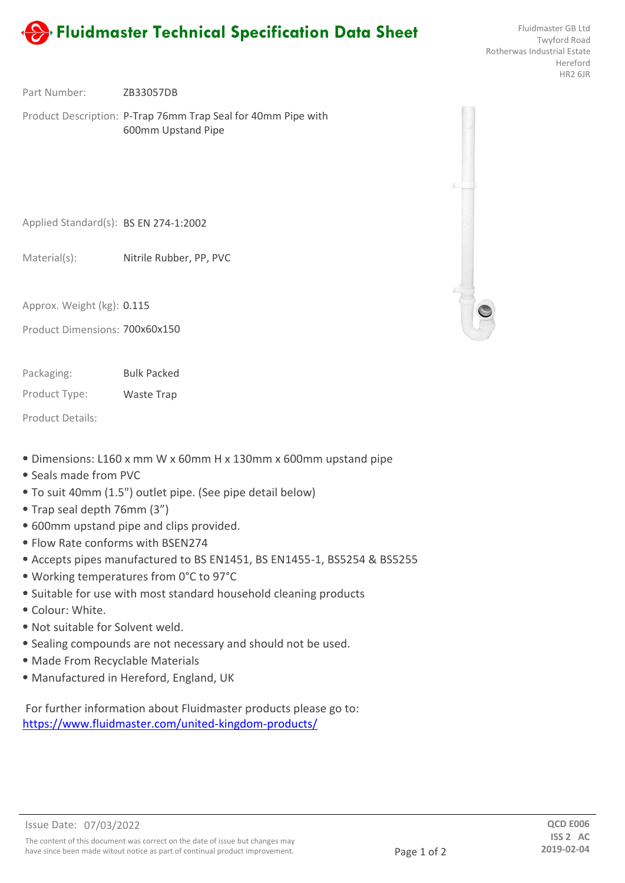

Twyford Road Rotherwas Industrial Estate Hereford HR2 6JR

ZB33057DB Part Number:

Product Description: P-Trap 76mm Trap Seal for 40mm Pipe with 600mm Upstand Pipe

Applied Standard(s): BS EN 274-1:2002

Nitrile Rubber, PP, PVC Material(s):

Approx. Weight (kg): 0.115

Product Dimensions: 700x60x150

Bulk Packed Packaging:

Product Type: Waste Trap

Product Details:

- ⦁ Dimensions: L160 x mm W x 60mm H x 130mm x 600mm upstand pipe
- ⦁ Seals made from PVC
- ⦁ To suit 40mm (1.5") outlet pipe. (See pipe detail below)
- ⦁ Trap seal depth 76mm (3")
- ⦁ 600mm upstand pipe and clips provided.
- ⦁ Flow Rate conforms with BSEN274
- ⦁ Accepts pipes manufactured to BS EN1451, BS EN1455-1, BS5254 & BS5255
- ⦁ Working temperatures from 0°C to 97°C
- ⦁ Suitable for use with most standard household cleaning products
- ⦁ Colour: White.
- ⦁ Not suitable for Solvent weld.
- ⦁ Sealing compounds are not necessary and should not be used.
- ⦁ Made From Recyclable Materials
- ⦁ Manufactured in Hereford, England, UK

For further information about Fluidmaster products please go to: https://www.fluidmaster.com/united-kingdom-products/